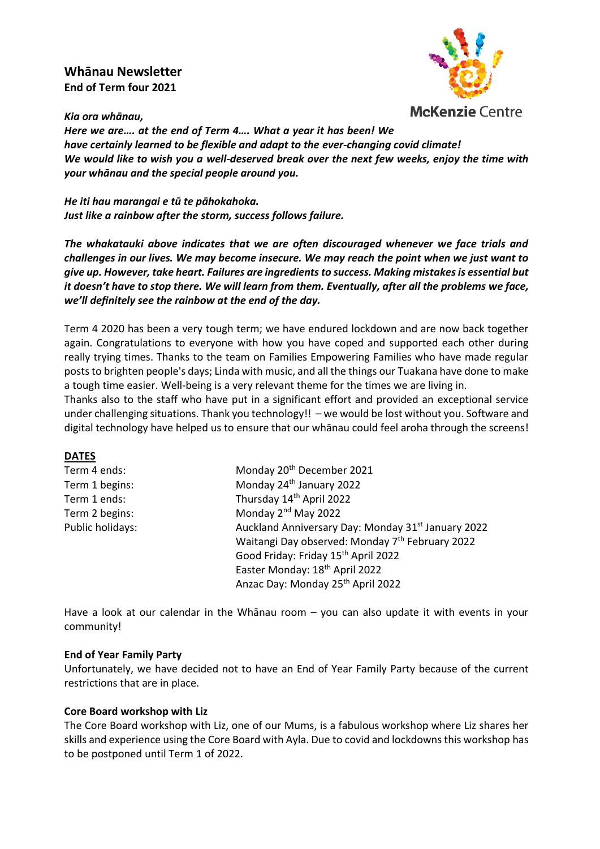# **Whānau Newsletter End of Term four 2021**



*Kia ora whānau,*

*Here we are…. at the end of Term 4…. What a year it has been! We have certainly learned to be flexible and adapt to the ever-changing covid climate! We would like to wish you a well-deserved break over the next few weeks, enjoy the time with your whānau and the special people around you.* 

*He iti hau marangai e tū te pāhokahoka. Just like a rainbow after the storm, success follows failure.*

*The whakatauki above indicates that we are often discouraged whenever we face trials and challenges in our lives. We may become insecure. We may reach the point when we just want to give up. However, take heart. Failures are ingredients to success. Making mistakes is essential but it doesn't have to stop there. We will learn from them. Eventually, after all the problems we face, we'll definitely see the rainbow at the end of the day.*

Term 4 2020 has been a very tough term; we have endured lockdown and are now back together again. Congratulations to everyone with how you have coped and supported each other during really trying times. Thanks to the team on Families Empowering Families who have made regular posts to brighten people's days; Linda with music, and all the things our Tuakana have done to make a tough time easier. Well-being is a very relevant theme for the times we are living in.

Thanks also to the staff who have put in a significant effort and provided an exceptional service under challenging situations. Thank you technology!! – we would be lost without you. Software and digital technology have helped us to ensure that our whānau could feel aroha through the screens!

### **DATES**

| Term 4 ends:     | Monday 20 <sup>th</sup> December 2021                          |
|------------------|----------------------------------------------------------------|
| Term 1 begins:   | Monday 24 <sup>th</sup> January 2022                           |
| Term 1 ends:     | Thursday 14th April 2022                                       |
| Term 2 begins:   | Monday 2 <sup>nd</sup> May 2022                                |
| Public holidays: | Auckland Anniversary Day: Monday 31 <sup>st</sup> January 2022 |
|                  | Waitangi Day observed: Monday 7 <sup>th</sup> February 2022    |
|                  | Good Friday: Friday 15 <sup>th</sup> April 2022                |
|                  | Easter Monday: 18 <sup>th</sup> April 2022                     |
|                  | Anzac Day: Monday 25th April 2022                              |

Have a look at our calendar in the Whānau room – you can also update it with events in your community!

#### **End of Year Family Party**

Unfortunately, we have decided not to have an End of Year Family Party because of the current restrictions that are in place.

### **Core Board workshop with Liz**

The Core Board workshop with Liz, one of our Mums, is a fabulous workshop where Liz shares her skills and experience using the Core Board with Ayla. Due to covid and lockdowns this workshop has to be postponed until Term 1 of 2022.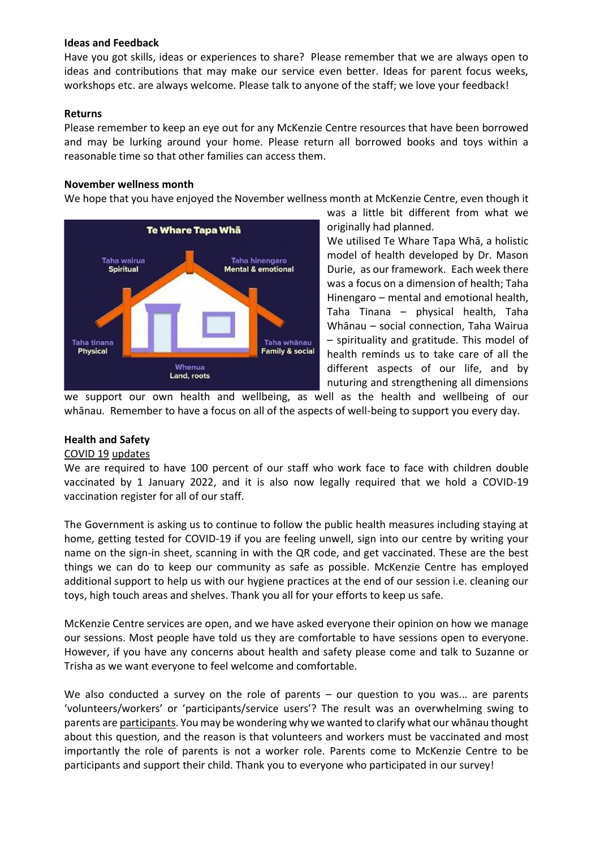#### **Ideas and Feedback**

Have you got skills, ideas or experiences to share? Please remember that we are always open to ideas and contributions that may make our service even better. Ideas for parent focus weeks, workshops etc. are always welcome. Please talk to anyone of the staff; we love your feedback!

### **Returns**

Please remember to keep an eye out for any McKenzie Centre resources that have been borrowed and may be lurking around your home. Please return all borrowed books and toys within a reasonable time so that other families can access them.

### **November wellness month**

We hope that you have enjoyed the November wellness month at McKenzie Centre, even though it



was a little bit different from what we originally had planned.

We utilised Te Whare Tapa Whā, a holistic model of health developed by Dr. Mason Durie, as our framework. Each week there was a focus on a dimension of health; Taha Hinengaro – mental and emotional health, Taha Tinana – physical health, Taha Whānau – social connection, Taha Wairua – spirituality and gratitude. This model of health reminds us to take care of all the different aspects of our life, and by nuturing and strengthening all dimensions

we support our own health and wellbeing, as well as the health and wellbeing of our whānau. Remember to have a focus on all of the aspects of well-being to support you every day.

### **Health and Safety**

#### COVID 19 updates

We are required to have 100 percent of our staff who work face to face with children double vaccinated by 1 January 2022, and it is also now legally required that we hold a COVID-19 vaccination register for all of our staff.

The Government is asking us to continue to follow the public health measures including staying at home, getting tested for COVID-19 if you are feeling unwell, sign into our centre by writing your name on the sign-in sheet, scanning in with the QR code, and get vaccinated. These are the best things we can do to keep our community as safe as possible. McKenzie Centre has employed additional support to help us with our hygiene practices at the end of our session i.e. cleaning our toys, high touch areas and shelves. Thank you all for your efforts to keep us safe.

McKenzie Centre services are open, and we have asked everyone their opinion on how we manage our sessions. Most people have told us they are comfortable to have sessions open to everyone. However, if you have any concerns about health and safety please come and talk to Suzanne or Trisha as we want everyone to feel welcome and comfortable.

We also conducted a survey on the role of parents – our question to you was... are parents 'volunteers/workers' or 'participants/service users'? The result was an overwhelming swing to parents are participants. You may be wondering why we wanted to clarify what our whānau thought about this question, and the reason is that volunteers and workers must be vaccinated and most importantly the role of parents is not a worker role. Parents come to McKenzie Centre to be participants and support their child. Thank you to everyone who participated in our survey!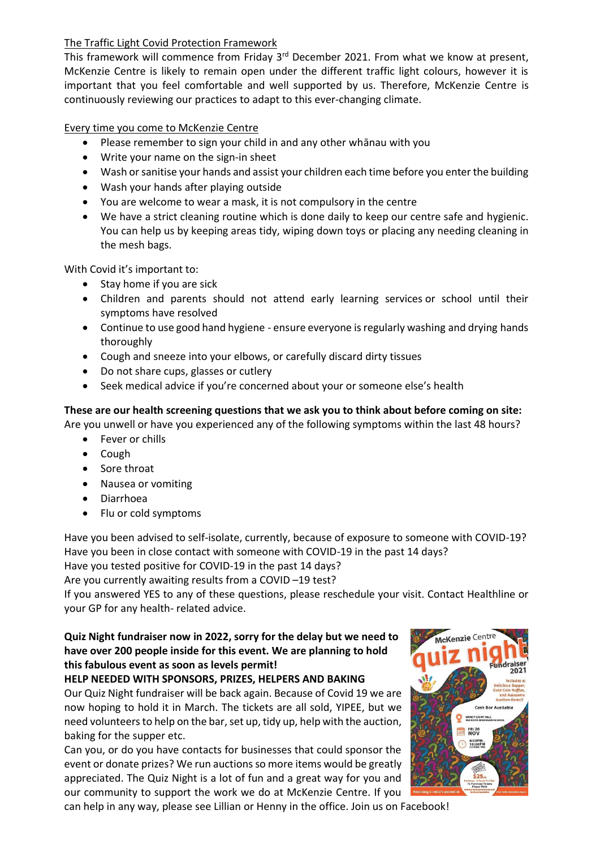## The Traffic Light Covid Protection Framework

This framework will commence from Friday 3<sup>rd</sup> December 2021. From what we know at present, McKenzie Centre is likely to remain open under the different traffic light colours, however it is important that you feel comfortable and well supported by us. Therefore, McKenzie Centre is continuously reviewing our practices to adapt to this ever-changing climate.

Every time you come to McKenzie Centre

- Please remember to sign your child in and any other whānau with you
- Write your name on the sign-in sheet
- Wash or sanitise your hands and assist your children each time before you enter the building
- Wash your hands after playing outside
- You are welcome to wear a mask, it is not compulsory in the centre
- We have a strict cleaning routine which is done daily to keep our centre safe and hygienic. You can help us by keeping areas tidy, wiping down toys or placing any needing cleaning in the mesh bags.

With Covid it's important to:

- Stay home if you are sick
- Children and parents should not attend early learning services or school until their symptoms have resolved
- Continue to use good hand hygiene - ensure everyone is regularly washing and drying hands thoroughly
- Cough and sneeze into your elbows, or carefully discard dirty tissues
- Do not share cups, glasses or cutlery
- Seek medical advice if you're concerned about your or someone else's health

# **These are our health screening questions that we ask you to think about before coming on site:**

Are you unwell or have you experienced any of the following symptoms within the last 48 hours?

- Fever or chills
- Cough
- Sore throat
- Nausea or vomiting
- Diarrhoea
- Flu or cold symptoms

Have you been advised to self-isolate, currently, because of exposure to someone with COVID-19? Have you been in close contact with someone with COVID-19 in the past 14 days?

Have you tested positive for COVID-19 in the past 14 days?

Are you currently awaiting results from a COVID –19 test?

If you answered YES to any of these questions, please reschedule your visit. Contact Healthline or your GP for any health- related advice.

# **Quiz Night fundraiser now in 2022, sorry for the delay but we need to have over 200 people inside for this event. We are planning to hold this fabulous event as soon as levels permit!**

# **HELP NEEDED WITH SPONSORS, PRIZES, HELPERS AND BAKING**

Our Quiz Night fundraiser will be back again. Because of Covid 19 we are now hoping to hold it in March. The tickets are all sold, YIPEE, but we need volunteers to help on the bar, set up, tidy up, help with the auction, baking for the supper etc.

Can you, or do you have contacts for businesses that could sponsor the event or donate prizes? We run auctions so more items would be greatly appreciated. The Quiz Night is a lot of fun and a great way for you and our community to support the work we do at McKenzie Centre. If you



can help in any way, please see Lillian or Henny in the office. Join us on Facebook!